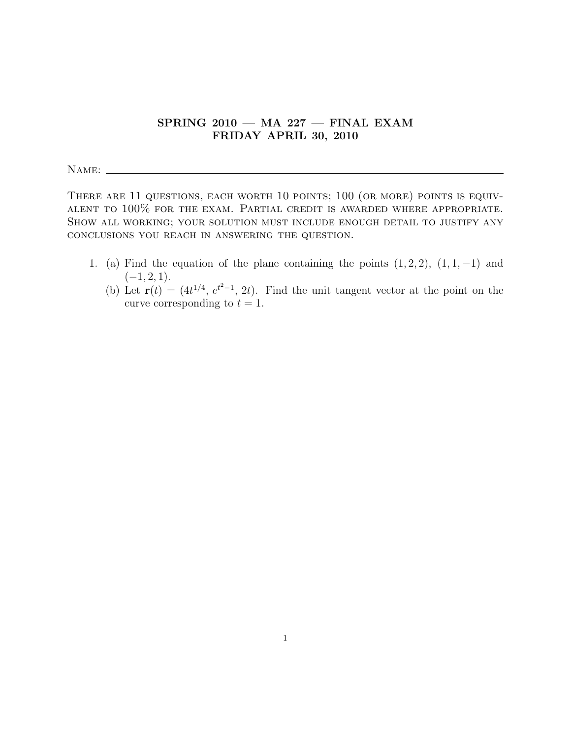## $SPRING 2010$  – MA 227 – FINAL EXAM FRIDAY APRIL 30, 2010

Name:

THERE ARE 11 QUESTIONS, EACH WORTH 10 POINTS; 100 (OR MORE) POINTS IS EQUIValent to 100% for the exam. Partial credit is awarded where appropriate. Show all working; your solution must include enough detail to justify any conclusions you reach in answering the question.

- 1. (a) Find the equation of the plane containing the points  $(1, 2, 2)$ ,  $(1, 1, -1)$  and  $(-1, 2, 1).$ 
	- (b) Let  $\mathbf{r}(t) = (4t^{1/4}, e^{t^2-1}, 2t)$ . Find the unit tangent vector at the point on the curve corresponding to  $t = 1$ .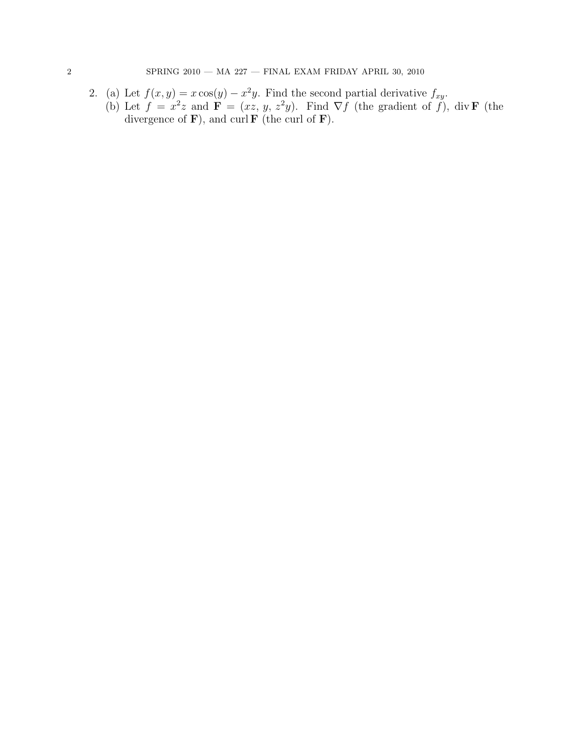- 2. (a) Let  $f(x, y) = x \cos(y) x^2y$ . Find the second partial derivative  $f_{xy}$ .
	- (b) Let  $f = x^2z$  and  $\mathbf{F} = (xz, y, z^2y)$ . Find  $\nabla f$  (the gradient of f), div **F** (the divergence of  $\bf{F}$ ), and curl  $\bf{F}$  (the curl of  $\bf{F}$ ).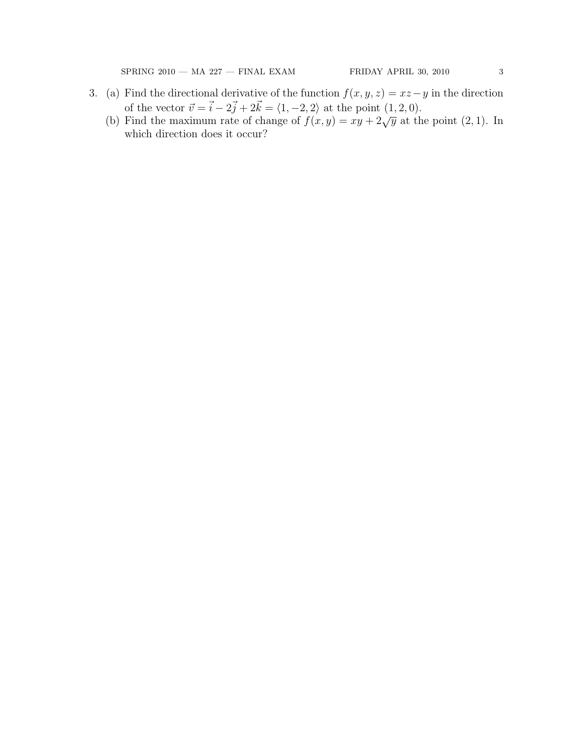${\bf SPRING~2010}\begin{array}{l} -\text{MA~227}\begin{array}{l} -\text{FINAL~EXAMPLE} & \text{SRIDAY~ APRIL~30,~2010} \end{array} & 3 \end{array}$ 

- 3. (a) Find the directional derivative of the function  $f(x, y, z) = xz y$  in the direction of the vector  $\vec{v} = \vec{i} - 2\vec{j} + 2\vec{k} = \langle 1, -2, 2 \rangle$  at the point  $(1, 2, 0)$ .
	- (b) Find the maximum rate of change of  $f(x, y) = xy + 2\sqrt{y}$  at the point (2, 1). In which direction does it occur?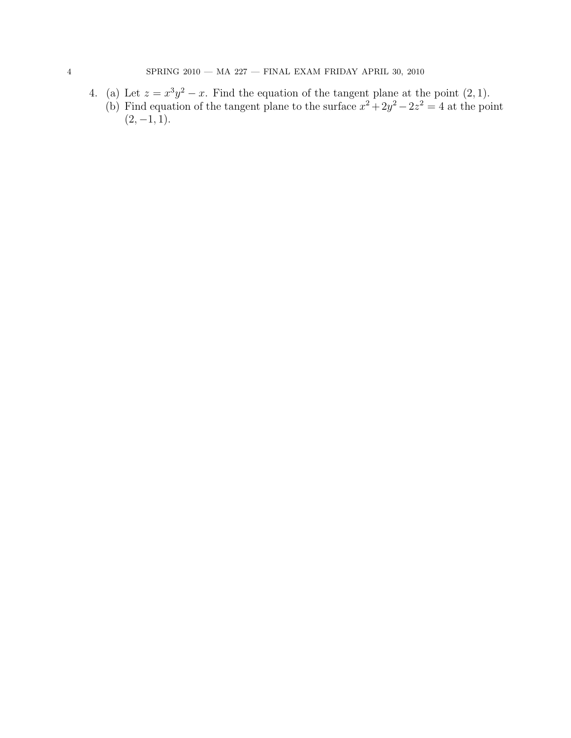4. (a) Let  $z = x^3y^2 - x$ . Find the equation of the tangent plane at the point  $(2, 1)$ . (b) Find equation of the tangent plane to the surface  $x^2 + 2y^2 - 2z^2 = 4$  at the point  $(2, -1, 1).$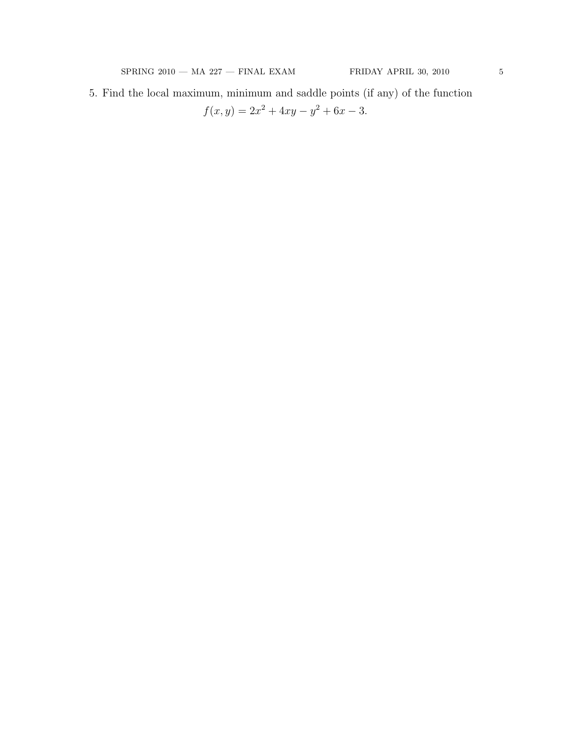5. Find the local maximum, minimum and saddle points (if any) of the function  $f(x, y) = 2x^2 + 4xy - y^2 + 6x - 3.$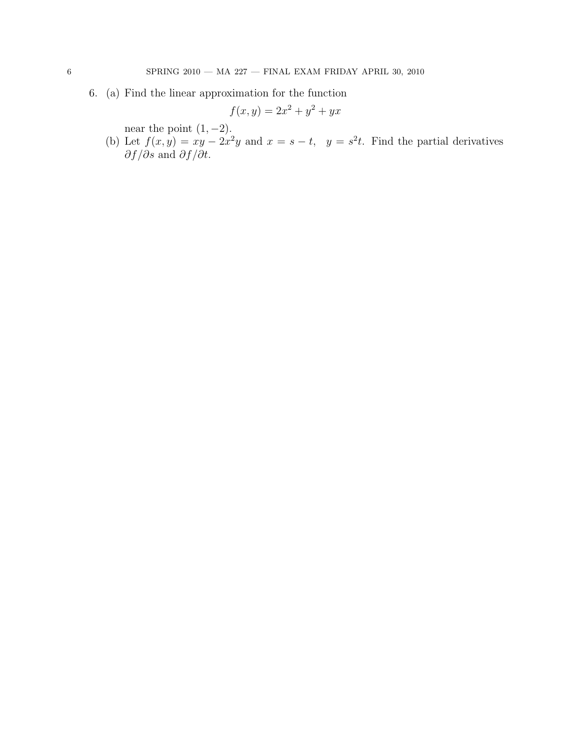6. (a) Find the linear approximation for the function

$$
f(x,y) = 2x^2 + y^2 + yx
$$

near the point  $(1, -2)$ .

(b) Let  $f(x, y) = xy - 2x^2y$  and  $x = s - t$ ,  $y = s^2t$ . Find the partial derivatives  $\partial f/\partial s$  and  $\partial f/\partial t$ .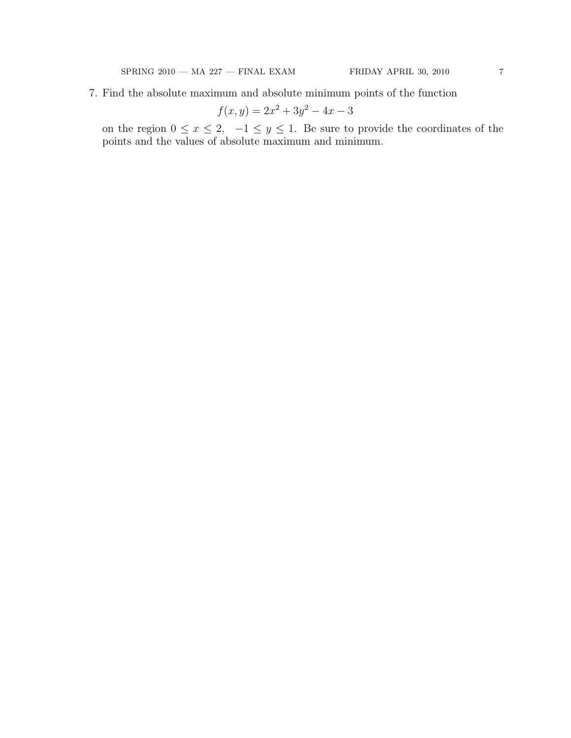7. Find the absolute maximum and absolute minimum points of the function

$$
f(x,y) = 2x^2 + 3y^2 - 4x - 3
$$

on the region  $0 \le x \le 2$ ,  $-1 \le y \le 1$ . Be sure to provide the coordinates of the points and the values of absolute maximum and minimum.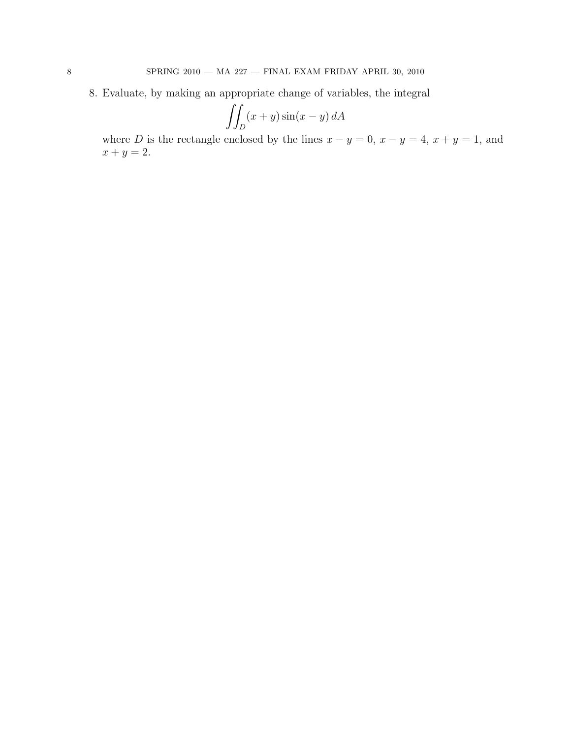8. Evaluate, by making an appropriate change of variables, the integral

$$
\iint_D (x+y)\sin(x-y) dA
$$

where D is the rectangle enclosed by the lines  $x - y = 0$ ,  $x - y = 4$ ,  $x + y = 1$ , and  $x + y = 2.$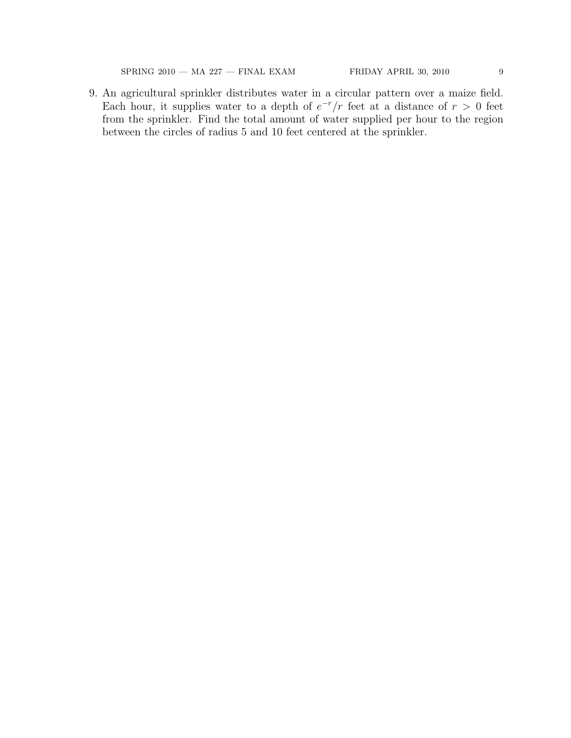${\bf SPRING~2010}\begin{array}{l} -\text{MA~227}\begin{array}{l} -\text{FINAL~EXAMPLE} & \text{SRIDAY~APRIL~30,~2010} \end{array} & 9 \end{array}$ 

9. An agricultural sprinkler distributes water in a circular pattern over a maize field. Each hour, it supplies water to a depth of  $e^{-r}/r$  feet at a distance of  $r > 0$  feet from the sprinkler. Find the total amount of water supplied per hour to the region between the circles of radius 5 and 10 feet centered at the sprinkler.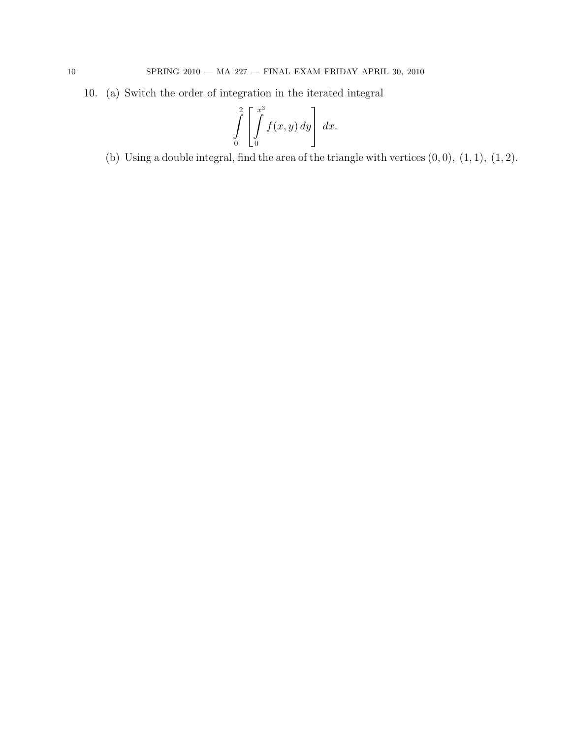10. (a) Switch the order of integration in the iterated integral

$$
\int\limits_{0}^{2} \left[ \int\limits_{0}^{x^{3}} f(x, y) dy \right] dx.
$$

(b) Using a double integral, find the area of the triangle with vertices  $(0, 0)$ ,  $(1, 1)$ ,  $(1, 2)$ .